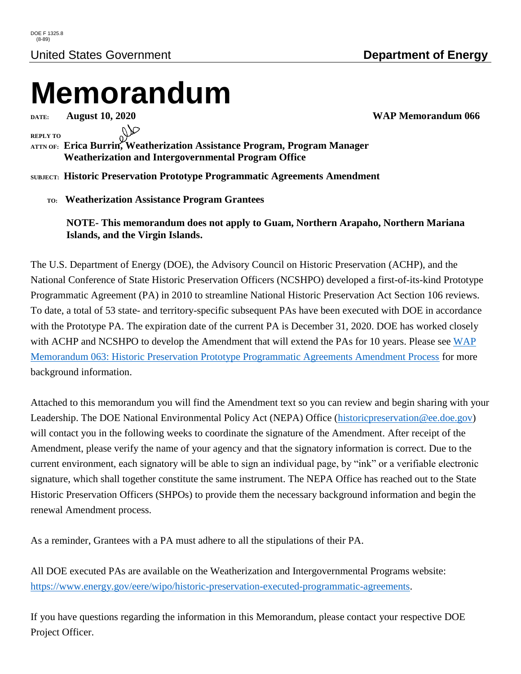## **Memorandum**

**REPLY TO**

**ATTN OF: Erica Burrin, Weatherization Assistance Program, Program Manager Weatherization and Intergovernmental Program Office**

**SUBJECT: Historic Preservation Prototype Programmatic Agreements Amendment**

 **TO: Weatherization Assistance Program Grantees**

**NOTE- This memorandum does not apply to Guam, Northern Arapaho, Northern Mariana Islands, and the Virgin Islands.**

The U.S. Department of Energy (DOE), the Advisory Council on Historic Preservation (ACHP), and the National Conference of State Historic Preservation Officers (NCSHPO) developed a first-of-its-kind Prototype Programmatic Agreement (PA) in 2010 to streamline National Historic Preservation Act Section 106 reviews. To date, a total of 53 state- and territory-specific subsequent PAs have been executed with DOE in accordance with the Prototype PA. The expiration date of the current PA is December 31, 2020. DOE has worked closely with ACHP and NCSHPO to develop the Amendment that will extend the PAs for 10 years. Please see WAP [Memorandum 063: Historic Preservation Prototype Programmatic Agreements Amendment Process](https://www.energy.gov/sites/prod/files/2020/07/f76/wap-memo-063.pdf) for more background information.

Attached to this memorandum you will find the Amendment text so you can review and begin sharing with your Leadership. The DOE National Environmental Policy Act (NEPA) Office [\(historicpreservation@ee.doe.gov\)](mailto:historicpreservation@ee.doe.gov) will contact you in the following weeks to coordinate the signature of the Amendment. After receipt of the Amendment, please verify the name of your agency and that the signatory information is correct. Due to the current environment, each signatory will be able to sign an individual page, by "ink" or a verifiable electronic signature, which shall together constitute the same instrument. The NEPA Office has reached out to the State Historic Preservation Officers (SHPOs) to provide them the necessary background information and begin the renewal Amendment process.

As a reminder, Grantees with a PA must adhere to all the stipulations of their PA.

All DOE executed PAs are available on the Weatherization and Intergovernmental Programs website: [https://www.energy.gov/eere/wipo/historic-preservation-executed-programmatic-agreements.](https://www.energy.gov/eere/wipo/historic-preservation-executed-programmatic-agreements)

If you have questions regarding the information in this Memorandum, please contact your respective DOE Project Officer.

**DATE: August 10, 2020 WAP Memorandum 066**